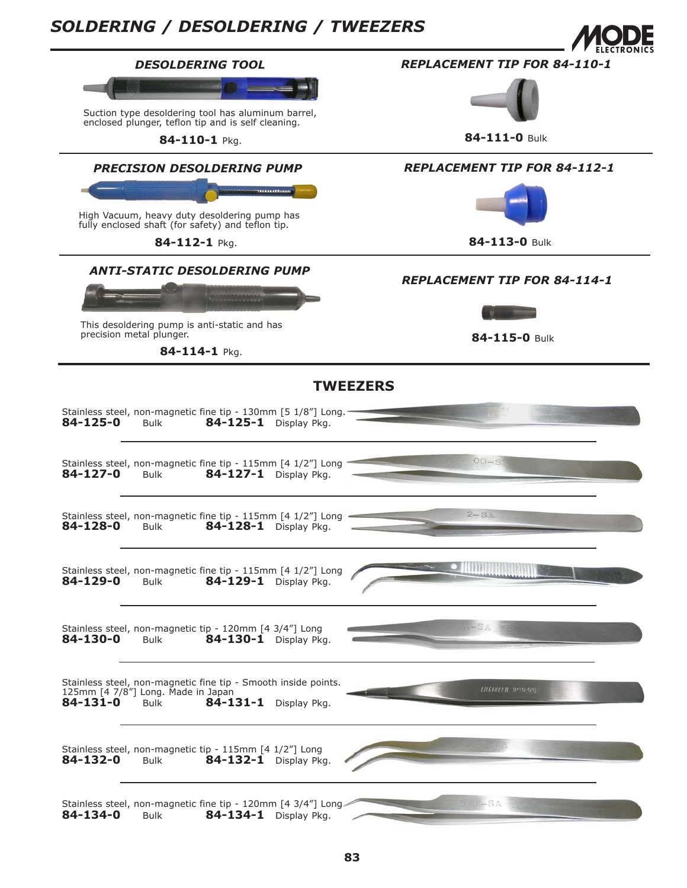## *SOLDERING / DESOLDERING / TWEEZERS*